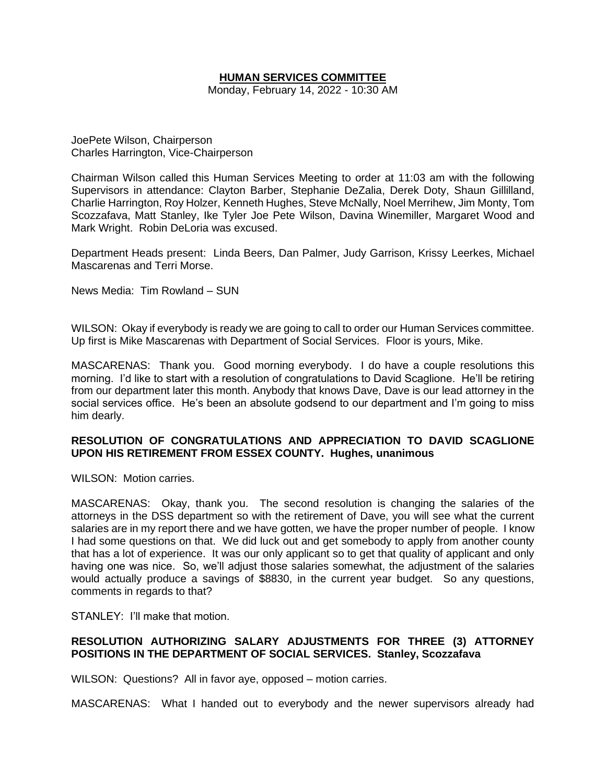# **HUMAN SERVICES COMMITTEE**

Monday, February 14, 2022 - 10:30 AM

JoePete Wilson, Chairperson Charles Harrington, Vice-Chairperson

Chairman Wilson called this Human Services Meeting to order at 11:03 am with the following Supervisors in attendance: Clayton Barber, Stephanie DeZalia, Derek Doty, Shaun Gillilland, Charlie Harrington, Roy Holzer, Kenneth Hughes, Steve McNally, Noel Merrihew, Jim Monty, Tom Scozzafava, Matt Stanley, Ike Tyler Joe Pete Wilson, Davina Winemiller, Margaret Wood and Mark Wright. Robin DeLoria was excused.

Department Heads present: Linda Beers, Dan Palmer, Judy Garrison, Krissy Leerkes, Michael Mascarenas and Terri Morse.

News Media: Tim Rowland – SUN

WILSON: Okay if everybody is ready we are going to call to order our Human Services committee. Up first is Mike Mascarenas with Department of Social Services. Floor is yours, Mike.

MASCARENAS: Thank you. Good morning everybody. I do have a couple resolutions this morning. I'd like to start with a resolution of congratulations to David Scaglione. He'll be retiring from our department later this month. Anybody that knows Dave, Dave is our lead attorney in the social services office. He's been an absolute godsend to our department and I'm going to miss him dearly.

## **RESOLUTION OF CONGRATULATIONS AND APPRECIATION TO DAVID SCAGLIONE UPON HIS RETIREMENT FROM ESSEX COUNTY. Hughes, unanimous**

WILSON: Motion carries.

MASCARENAS: Okay, thank you. The second resolution is changing the salaries of the attorneys in the DSS department so with the retirement of Dave, you will see what the current salaries are in my report there and we have gotten, we have the proper number of people. I know I had some questions on that. We did luck out and get somebody to apply from another county that has a lot of experience. It was our only applicant so to get that quality of applicant and only having one was nice. So, we'll adjust those salaries somewhat, the adjustment of the salaries would actually produce a savings of \$8830, in the current year budget. So any questions, comments in regards to that?

STANLEY: I'll make that motion.

## **RESOLUTION AUTHORIZING SALARY ADJUSTMENTS FOR THREE (3) ATTORNEY POSITIONS IN THE DEPARTMENT OF SOCIAL SERVICES. Stanley, Scozzafava**

WILSON: Questions? All in favor aye, opposed – motion carries.

MASCARENAS: What I handed out to everybody and the newer supervisors already had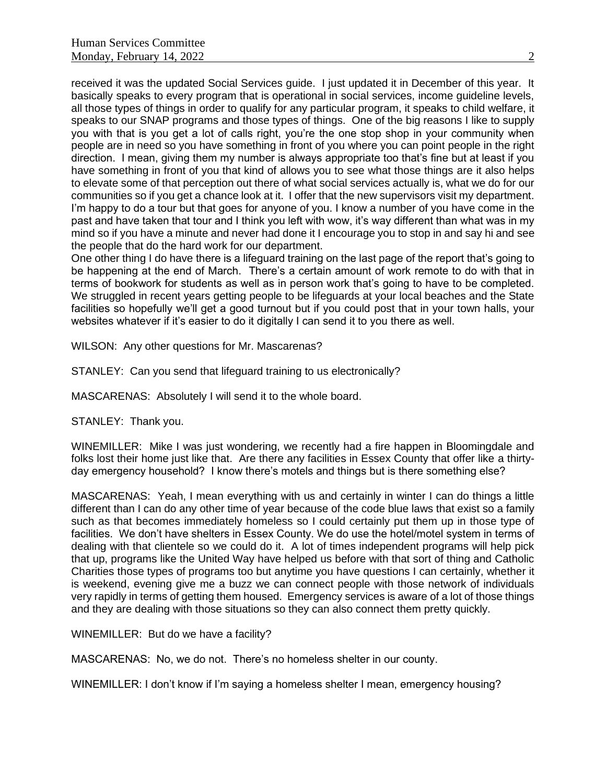received it was the updated Social Services guide. I just updated it in December of this year. It basically speaks to every program that is operational in social services, income guideline levels, all those types of things in order to qualify for any particular program, it speaks to child welfare, it speaks to our SNAP programs and those types of things. One of the big reasons I like to supply you with that is you get a lot of calls right, you're the one stop shop in your community when people are in need so you have something in front of you where you can point people in the right direction. I mean, giving them my number is always appropriate too that's fine but at least if you have something in front of you that kind of allows you to see what those things are it also helps to elevate some of that perception out there of what social services actually is, what we do for our communities so if you get a chance look at it. I offer that the new supervisors visit my department. I'm happy to do a tour but that goes for anyone of you. I know a number of you have come in the past and have taken that tour and I think you left with wow, it's way different than what was in my mind so if you have a minute and never had done it I encourage you to stop in and say hi and see the people that do the hard work for our department.

One other thing I do have there is a lifeguard training on the last page of the report that's going to be happening at the end of March. There's a certain amount of work remote to do with that in terms of bookwork for students as well as in person work that's going to have to be completed. We struggled in recent years getting people to be lifeguards at your local beaches and the State facilities so hopefully we'll get a good turnout but if you could post that in your town halls, your websites whatever if it's easier to do it digitally I can send it to you there as well.

WILSON: Any other questions for Mr. Mascarenas?

STANLEY: Can you send that lifeguard training to us electronically?

MASCARENAS: Absolutely I will send it to the whole board.

STANLEY: Thank you.

WINEMILLER: Mike I was just wondering, we recently had a fire happen in Bloomingdale and folks lost their home just like that. Are there any facilities in Essex County that offer like a thirtyday emergency household? I know there's motels and things but is there something else?

MASCARENAS: Yeah, I mean everything with us and certainly in winter I can do things a little different than I can do any other time of year because of the code blue laws that exist so a family such as that becomes immediately homeless so I could certainly put them up in those type of facilities. We don't have shelters in Essex County. We do use the hotel/motel system in terms of dealing with that clientele so we could do it. A lot of times independent programs will help pick that up, programs like the United Way have helped us before with that sort of thing and Catholic Charities those types of programs too but anytime you have questions I can certainly, whether it is weekend, evening give me a buzz we can connect people with those network of individuals very rapidly in terms of getting them housed. Emergency services is aware of a lot of those things and they are dealing with those situations so they can also connect them pretty quickly.

WINEMILLER: But do we have a facility?

MASCARENAS: No, we do not. There's no homeless shelter in our county.

WINEMILLER: I don't know if I'm saying a homeless shelter I mean, emergency housing?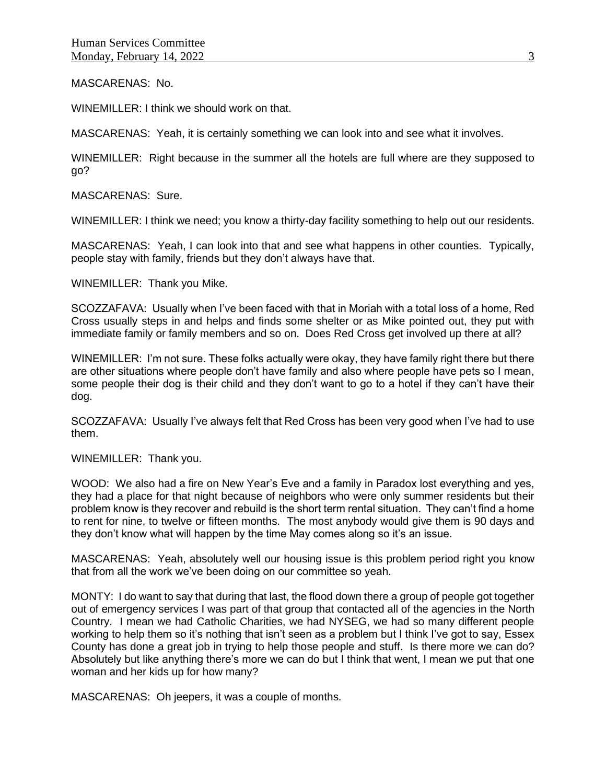#### MASCARENAS: No.

WINEMILLER: I think we should work on that.

MASCARENAS: Yeah, it is certainly something we can look into and see what it involves.

WINEMILLER: Right because in the summer all the hotels are full where are they supposed to go?

MASCARENAS: Sure.

WINEMILLER: I think we need; you know a thirty-day facility something to help out our residents.

MASCARENAS: Yeah, I can look into that and see what happens in other counties. Typically, people stay with family, friends but they don't always have that.

WINEMILLER: Thank you Mike.

SCOZZAFAVA: Usually when I've been faced with that in Moriah with a total loss of a home, Red Cross usually steps in and helps and finds some shelter or as Mike pointed out, they put with immediate family or family members and so on. Does Red Cross get involved up there at all?

WINEMILLER: I'm not sure. These folks actually were okay, they have family right there but there are other situations where people don't have family and also where people have pets so I mean, some people their dog is their child and they don't want to go to a hotel if they can't have their dog.

SCOZZAFAVA: Usually I've always felt that Red Cross has been very good when I've had to use them.

WINEMILLER: Thank you.

WOOD: We also had a fire on New Year's Eve and a family in Paradox lost everything and yes, they had a place for that night because of neighbors who were only summer residents but their problem know is they recover and rebuild is the short term rental situation. They can't find a home to rent for nine, to twelve or fifteen months. The most anybody would give them is 90 days and they don't know what will happen by the time May comes along so it's an issue.

MASCARENAS: Yeah, absolutely well our housing issue is this problem period right you know that from all the work we've been doing on our committee so yeah.

MONTY: I do want to say that during that last, the flood down there a group of people got together out of emergency services I was part of that group that contacted all of the agencies in the North Country. I mean we had Catholic Charities, we had NYSEG, we had so many different people working to help them so it's nothing that isn't seen as a problem but I think I've got to say, Essex County has done a great job in trying to help those people and stuff. Is there more we can do? Absolutely but like anything there's more we can do but I think that went, I mean we put that one woman and her kids up for how many?

MASCARENAS: Oh jeepers, it was a couple of months.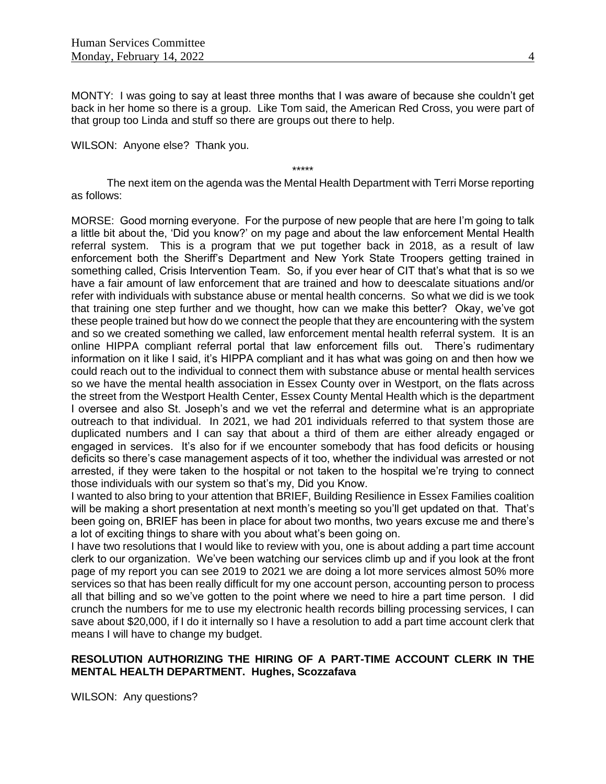MONTY: I was going to say at least three months that I was aware of because she couldn't get back in her home so there is a group. Like Tom said, the American Red Cross, you were part of that group too Linda and stuff so there are groups out there to help.

WILSON: Anyone else? Thank you.

\*\*\*\*\*

The next item on the agenda was the Mental Health Department with Terri Morse reporting as follows:

MORSE: Good morning everyone. For the purpose of new people that are here I'm going to talk a little bit about the, 'Did you know?' on my page and about the law enforcement Mental Health referral system. This is a program that we put together back in 2018, as a result of law enforcement both the Sheriff's Department and New York State Troopers getting trained in something called, Crisis Intervention Team. So, if you ever hear of CIT that's what that is so we have a fair amount of law enforcement that are trained and how to deescalate situations and/or refer with individuals with substance abuse or mental health concerns. So what we did is we took that training one step further and we thought, how can we make this better? Okay, we've got these people trained but how do we connect the people that they are encountering with the system and so we created something we called, law enforcement mental health referral system. It is an online HIPPA compliant referral portal that law enforcement fills out. There's rudimentary information on it like I said, it's HIPPA compliant and it has what was going on and then how we could reach out to the individual to connect them with substance abuse or mental health services so we have the mental health association in Essex County over in Westport, on the flats across the street from the Westport Health Center, Essex County Mental Health which is the department I oversee and also St. Joseph's and we vet the referral and determine what is an appropriate outreach to that individual. In 2021, we had 201 individuals referred to that system those are duplicated numbers and I can say that about a third of them are either already engaged or engaged in services. It's also for if we encounter somebody that has food deficits or housing deficits so there's case management aspects of it too, whether the individual was arrested or not arrested, if they were taken to the hospital or not taken to the hospital we're trying to connect those individuals with our system so that's my, Did you Know.

I wanted to also bring to your attention that BRIEF, Building Resilience in Essex Families coalition will be making a short presentation at next month's meeting so you'll get updated on that. That's been going on, BRIEF has been in place for about two months, two years excuse me and there's a lot of exciting things to share with you about what's been going on.

I have two resolutions that I would like to review with you, one is about adding a part time account clerk to our organization. We've been watching our services climb up and if you look at the front page of my report you can see 2019 to 2021 we are doing a lot more services almost 50% more services so that has been really difficult for my one account person, accounting person to process all that billing and so we've gotten to the point where we need to hire a part time person. I did crunch the numbers for me to use my electronic health records billing processing services, I can save about \$20,000, if I do it internally so I have a resolution to add a part time account clerk that means I will have to change my budget.

## **RESOLUTION AUTHORIZING THE HIRING OF A PART-TIME ACCOUNT CLERK IN THE MENTAL HEALTH DEPARTMENT. Hughes, Scozzafava**

WILSON: Any questions?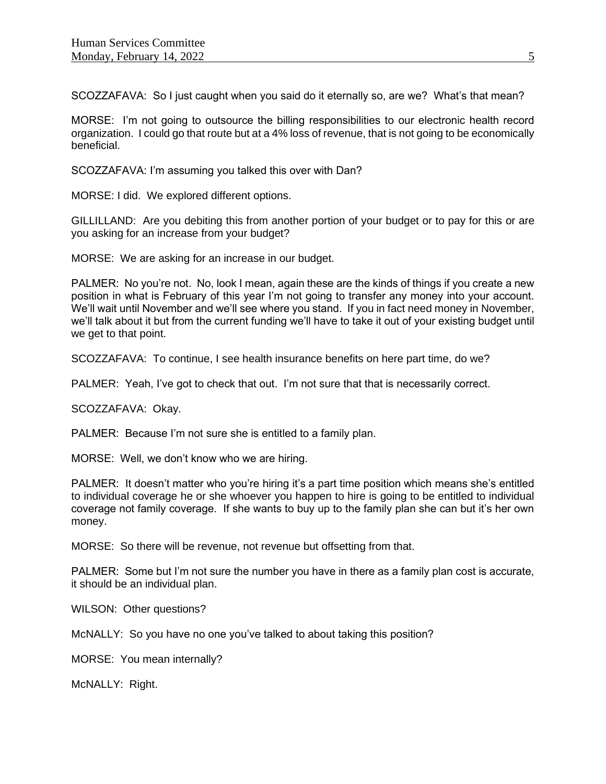SCOZZAFAVA: So I just caught when you said do it eternally so, are we? What's that mean?

MORSE: I'm not going to outsource the billing responsibilities to our electronic health record organization. I could go that route but at a 4% loss of revenue, that is not going to be economically beneficial.

SCOZZAFAVA: I'm assuming you talked this over with Dan?

MORSE: I did. We explored different options.

GILLILLAND: Are you debiting this from another portion of your budget or to pay for this or are you asking for an increase from your budget?

MORSE: We are asking for an increase in our budget.

PALMER: No you're not. No, look I mean, again these are the kinds of things if you create a new position in what is February of this year I'm not going to transfer any money into your account. We'll wait until November and we'll see where you stand. If you in fact need money in November, we'll talk about it but from the current funding we'll have to take it out of your existing budget until we get to that point.

SCOZZAFAVA: To continue, I see health insurance benefits on here part time, do we?

PALMER: Yeah, I've got to check that out. I'm not sure that that is necessarily correct.

SCOZZAFAVA: Okay.

PALMER: Because I'm not sure she is entitled to a family plan.

MORSE: Well, we don't know who we are hiring.

PALMER: It doesn't matter who you're hiring it's a part time position which means she's entitled to individual coverage he or she whoever you happen to hire is going to be entitled to individual coverage not family coverage. If she wants to buy up to the family plan she can but it's her own money.

MORSE: So there will be revenue, not revenue but offsetting from that.

PALMER: Some but I'm not sure the number you have in there as a family plan cost is accurate, it should be an individual plan.

WILSON: Other questions?

McNALLY: So you have no one you've talked to about taking this position?

MORSE: You mean internally?

McNALLY: Right.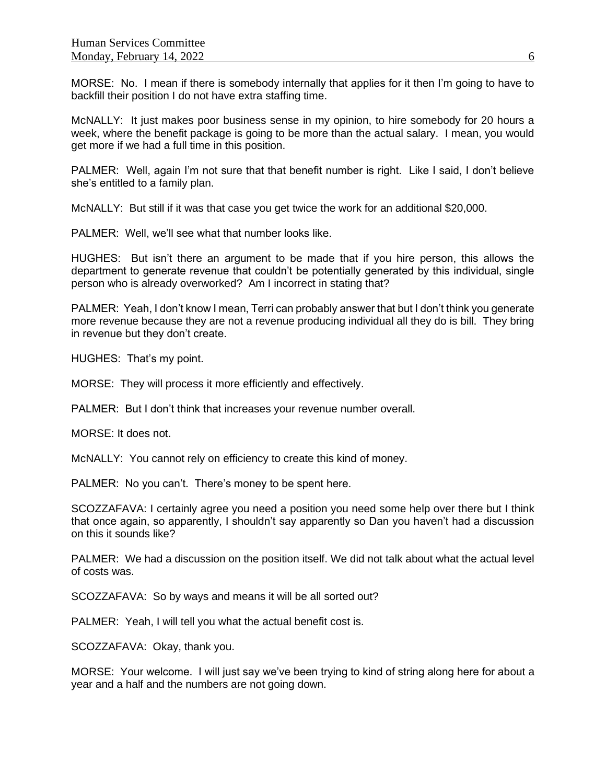MORSE: No. I mean if there is somebody internally that applies for it then I'm going to have to backfill their position I do not have extra staffing time.

McNALLY: It just makes poor business sense in my opinion, to hire somebody for 20 hours a week, where the benefit package is going to be more than the actual salary. I mean, you would get more if we had a full time in this position.

PALMER: Well, again I'm not sure that that benefit number is right. Like I said, I don't believe she's entitled to a family plan.

McNALLY: But still if it was that case you get twice the work for an additional \$20,000.

PALMER: Well, we'll see what that number looks like.

HUGHES: But isn't there an argument to be made that if you hire person, this allows the department to generate revenue that couldn't be potentially generated by this individual, single person who is already overworked? Am I incorrect in stating that?

PALMER: Yeah, I don't know I mean, Terri can probably answer that but I don't think you generate more revenue because they are not a revenue producing individual all they do is bill. They bring in revenue but they don't create.

HUGHES: That's my point.

MORSE: They will process it more efficiently and effectively.

PALMER: But I don't think that increases your revenue number overall.

MORSE: It does not.

McNALLY: You cannot rely on efficiency to create this kind of money.

PALMER: No you can't. There's money to be spent here.

SCOZZAFAVA: I certainly agree you need a position you need some help over there but I think that once again, so apparently, I shouldn't say apparently so Dan you haven't had a discussion on this it sounds like?

PALMER: We had a discussion on the position itself. We did not talk about what the actual level of costs was.

SCOZZAFAVA: So by ways and means it will be all sorted out?

PALMER: Yeah, I will tell you what the actual benefit cost is.

SCOZZAFAVA: Okay, thank you.

MORSE: Your welcome. I will just say we've been trying to kind of string along here for about a year and a half and the numbers are not going down.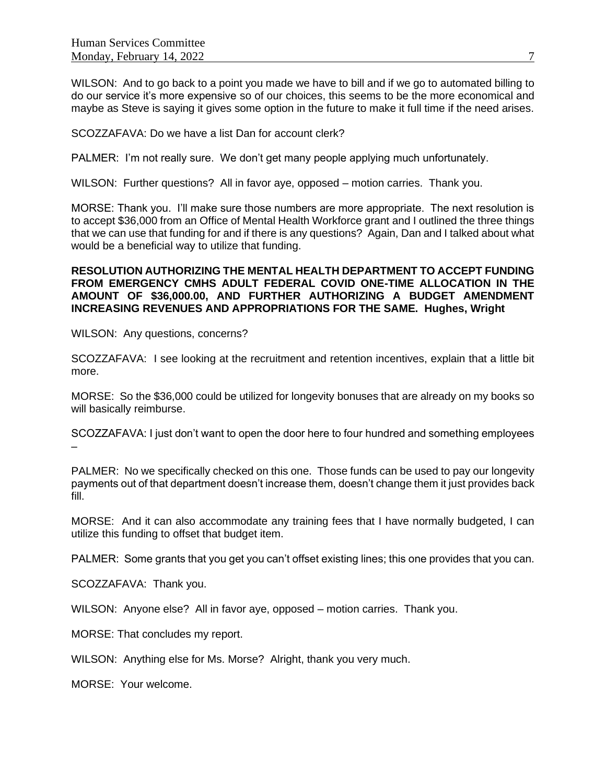WILSON: And to go back to a point you made we have to bill and if we go to automated billing to do our service it's more expensive so of our choices, this seems to be the more economical and maybe as Steve is saying it gives some option in the future to make it full time if the need arises.

SCOZZAFAVA: Do we have a list Dan for account clerk?

PALMER: I'm not really sure. We don't get many people applying much unfortunately.

WILSON: Further questions? All in favor aye, opposed – motion carries. Thank you.

MORSE: Thank you. I'll make sure those numbers are more appropriate. The next resolution is to accept \$36,000 from an Office of Mental Health Workforce grant and I outlined the three things that we can use that funding for and if there is any questions? Again, Dan and I talked about what would be a beneficial way to utilize that funding.

### **RESOLUTION AUTHORIZING THE MENTAL HEALTH DEPARTMENT TO ACCEPT FUNDING FROM EMERGENCY CMHS ADULT FEDERAL COVID ONE-TIME ALLOCATION IN THE AMOUNT OF \$36,000.00, AND FURTHER AUTHORIZING A BUDGET AMENDMENT INCREASING REVENUES AND APPROPRIATIONS FOR THE SAME. Hughes, Wright**

WILSON: Any questions, concerns?

SCOZZAFAVA: I see looking at the recruitment and retention incentives, explain that a little bit more.

MORSE: So the \$36,000 could be utilized for longevity bonuses that are already on my books so will basically reimburse.

SCOZZAFAVA: I just don't want to open the door here to four hundred and something employees –

PALMER: No we specifically checked on this one. Those funds can be used to pay our longevity payments out of that department doesn't increase them, doesn't change them it just provides back fill.

MORSE: And it can also accommodate any training fees that I have normally budgeted, I can utilize this funding to offset that budget item.

PALMER: Some grants that you get you can't offset existing lines; this one provides that you can.

SCOZZAFAVA: Thank you.

WILSON: Anyone else? All in favor aye, opposed – motion carries. Thank you.

MORSE: That concludes my report.

WILSON: Anything else for Ms. Morse? Alright, thank you very much.

MORSE: Your welcome.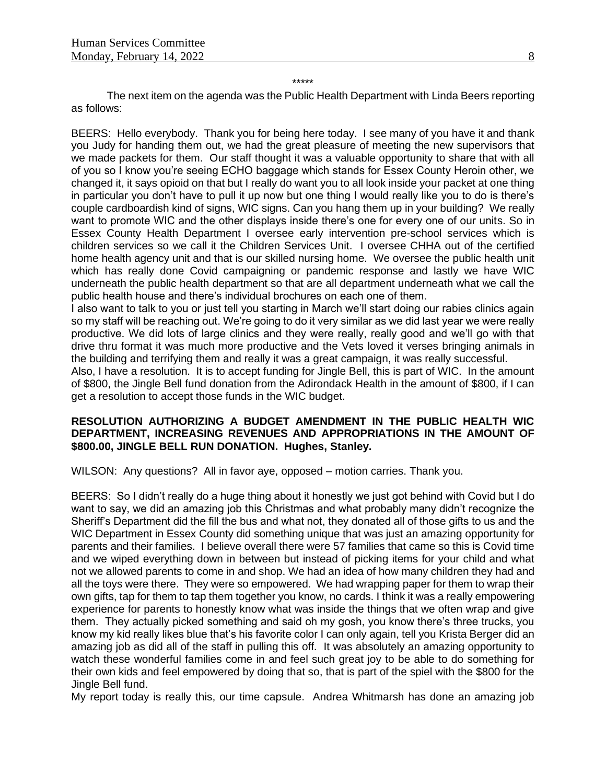\*\*\*\*\*

The next item on the agenda was the Public Health Department with Linda Beers reporting as follows:

BEERS: Hello everybody. Thank you for being here today. I see many of you have it and thank you Judy for handing them out, we had the great pleasure of meeting the new supervisors that we made packets for them. Our staff thought it was a valuable opportunity to share that with all of you so I know you're seeing ECHO baggage which stands for Essex County Heroin other, we changed it, it says opioid on that but I really do want you to all look inside your packet at one thing in particular you don't have to pull it up now but one thing I would really like you to do is there's couple cardboardish kind of signs, WIC signs. Can you hang them up in your building? We really want to promote WIC and the other displays inside there's one for every one of our units. So in Essex County Health Department I oversee early intervention pre-school services which is children services so we call it the Children Services Unit. I oversee CHHA out of the certified home health agency unit and that is our skilled nursing home. We oversee the public health unit which has really done Covid campaigning or pandemic response and lastly we have WIC underneath the public health department so that are all department underneath what we call the public health house and there's individual brochures on each one of them.

I also want to talk to you or just tell you starting in March we'll start doing our rabies clinics again so my staff will be reaching out. We're going to do it very similar as we did last year we were really productive. We did lots of large clinics and they were really, really good and we'll go with that drive thru format it was much more productive and the Vets loved it verses bringing animals in the building and terrifying them and really it was a great campaign, it was really successful.

Also, I have a resolution. It is to accept funding for Jingle Bell, this is part of WIC. In the amount of \$800, the Jingle Bell fund donation from the Adirondack Health in the amount of \$800, if I can get a resolution to accept those funds in the WIC budget.

## **RESOLUTION AUTHORIZING A BUDGET AMENDMENT IN THE PUBLIC HEALTH WIC DEPARTMENT, INCREASING REVENUES AND APPROPRIATIONS IN THE AMOUNT OF \$800.00, JINGLE BELL RUN DONATION. Hughes, Stanley.**

WILSON: Any questions? All in favor aye, opposed – motion carries. Thank you.

BEERS: So I didn't really do a huge thing about it honestly we just got behind with Covid but I do want to say, we did an amazing job this Christmas and what probably many didn't recognize the Sheriff's Department did the fill the bus and what not, they donated all of those gifts to us and the WIC Department in Essex County did something unique that was just an amazing opportunity for parents and their families. I believe overall there were 57 families that came so this is Covid time and we wiped everything down in between but instead of picking items for your child and what not we allowed parents to come in and shop. We had an idea of how many children they had and all the toys were there. They were so empowered. We had wrapping paper for them to wrap their own gifts, tap for them to tap them together you know, no cards. I think it was a really empowering experience for parents to honestly know what was inside the things that we often wrap and give them. They actually picked something and said oh my gosh, you know there's three trucks, you know my kid really likes blue that's his favorite color I can only again, tell you Krista Berger did an amazing job as did all of the staff in pulling this off. It was absolutely an amazing opportunity to watch these wonderful families come in and feel such great joy to be able to do something for their own kids and feel empowered by doing that so, that is part of the spiel with the \$800 for the Jingle Bell fund.

My report today is really this, our time capsule. Andrea Whitmarsh has done an amazing job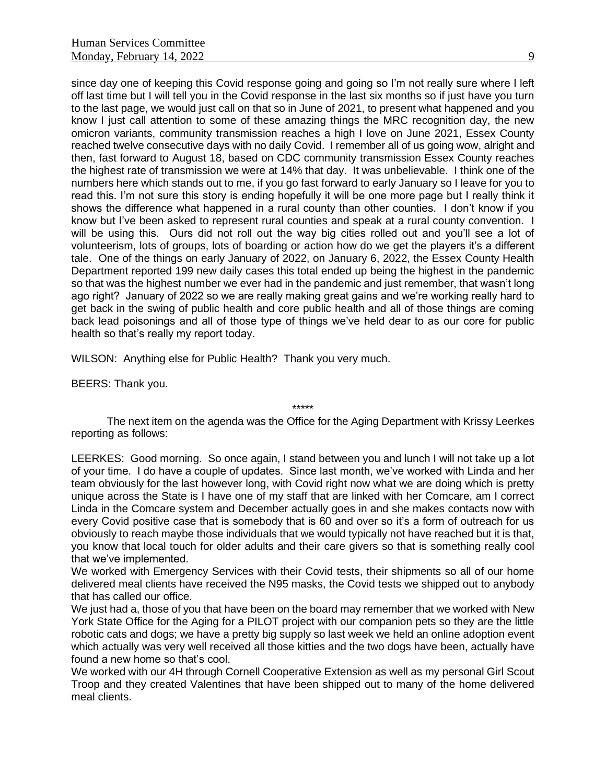since day one of keeping this Covid response going and going so I'm not really sure where I left off last time but I will tell you in the Covid response in the last six months so if just have you turn to the last page, we would just call on that so in June of 2021, to present what happened and you know I just call attention to some of these amazing things the MRC recognition day, the new omicron variants, community transmission reaches a high I love on June 2021, Essex County reached twelve consecutive days with no daily Covid. I remember all of us going wow, alright and then, fast forward to August 18, based on CDC community transmission Essex County reaches the highest rate of transmission we were at 14% that day. It was unbelievable. I think one of the numbers here which stands out to me, if you go fast forward to early January so I leave for you to read this. I'm not sure this story is ending hopefully it will be one more page but I really think it shows the difference what happened in a rural county than other counties. I don't know if you know but I've been asked to represent rural counties and speak at a rural county convention. I will be using this. Ours did not roll out the way big cities rolled out and you'll see a lot of volunteerism, lots of groups, lots of boarding or action how do we get the players it's a different tale. One of the things on early January of 2022, on January 6, 2022, the Essex County Health Department reported 199 new daily cases this total ended up being the highest in the pandemic so that was the highest number we ever had in the pandemic and just remember, that wasn't long ago right? January of 2022 so we are really making great gains and we're working really hard to get back in the swing of public health and core public health and all of those things are coming back lead poisonings and all of those type of things we've held dear to as our core for public health so that's really my report today.

WILSON: Anything else for Public Health? Thank you very much.

BEERS: Thank you.

\*\*\*\*\*

The next item on the agenda was the Office for the Aging Department with Krissy Leerkes reporting as follows:

LEERKES: Good morning. So once again, I stand between you and lunch I will not take up a lot of your time. I do have a couple of updates. Since last month, we've worked with Linda and her team obviously for the last however long, with Covid right now what we are doing which is pretty unique across the State is I have one of my staff that are linked with her Comcare, am I correct Linda in the Comcare system and December actually goes in and she makes contacts now with every Covid positive case that is somebody that is 60 and over so it's a form of outreach for us obviously to reach maybe those individuals that we would typically not have reached but it is that, you know that local touch for older adults and their care givers so that is something really cool that we've implemented.

We worked with Emergency Services with their Covid tests, their shipments so all of our home delivered meal clients have received the N95 masks, the Covid tests we shipped out to anybody that has called our office.

We just had a, those of you that have been on the board may remember that we worked with New York State Office for the Aging for a PILOT project with our companion pets so they are the little robotic cats and dogs; we have a pretty big supply so last week we held an online adoption event which actually was very well received all those kitties and the two dogs have been, actually have found a new home so that's cool.

We worked with our 4H through Cornell Cooperative Extension as well as my personal Girl Scout Troop and they created Valentines that have been shipped out to many of the home delivered meal clients.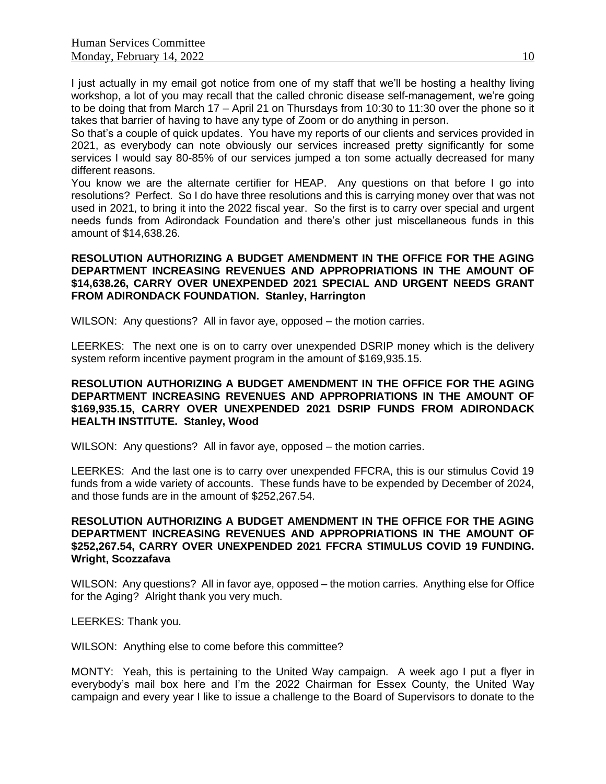I just actually in my email got notice from one of my staff that we'll be hosting a healthy living workshop, a lot of you may recall that the called chronic disease self-management, we're going to be doing that from March 17 – April 21 on Thursdays from 10:30 to 11:30 over the phone so it takes that barrier of having to have any type of Zoom or do anything in person.

So that's a couple of quick updates. You have my reports of our clients and services provided in 2021, as everybody can note obviously our services increased pretty significantly for some services I would say 80-85% of our services jumped a ton some actually decreased for many different reasons.

You know we are the alternate certifier for HEAP. Any questions on that before I go into resolutions? Perfect. So I do have three resolutions and this is carrying money over that was not used in 2021, to bring it into the 2022 fiscal year. So the first is to carry over special and urgent needs funds from Adirondack Foundation and there's other just miscellaneous funds in this amount of \$14,638.26.

## **RESOLUTION AUTHORIZING A BUDGET AMENDMENT IN THE OFFICE FOR THE AGING DEPARTMENT INCREASING REVENUES AND APPROPRIATIONS IN THE AMOUNT OF \$14,638.26, CARRY OVER UNEXPENDED 2021 SPECIAL AND URGENT NEEDS GRANT FROM ADIRONDACK FOUNDATION. Stanley, Harrington**

WILSON: Any questions? All in favor aye, opposed – the motion carries.

LEERKES: The next one is on to carry over unexpended DSRIP money which is the delivery system reform incentive payment program in the amount of \$169,935.15.

## **RESOLUTION AUTHORIZING A BUDGET AMENDMENT IN THE OFFICE FOR THE AGING DEPARTMENT INCREASING REVENUES AND APPROPRIATIONS IN THE AMOUNT OF \$169,935.15, CARRY OVER UNEXPENDED 2021 DSRIP FUNDS FROM ADIRONDACK HEALTH INSTITUTE. Stanley, Wood**

WILSON: Any questions? All in favor aye, opposed – the motion carries.

LEERKES: And the last one is to carry over unexpended FFCRA, this is our stimulus Covid 19 funds from a wide variety of accounts. These funds have to be expended by December of 2024, and those funds are in the amount of \$252,267.54.

## **RESOLUTION AUTHORIZING A BUDGET AMENDMENT IN THE OFFICE FOR THE AGING DEPARTMENT INCREASING REVENUES AND APPROPRIATIONS IN THE AMOUNT OF \$252,267.54, CARRY OVER UNEXPENDED 2021 FFCRA STIMULUS COVID 19 FUNDING. Wright, Scozzafava**

WILSON: Any questions? All in favor aye, opposed – the motion carries. Anything else for Office for the Aging? Alright thank you very much.

LEERKES: Thank you.

WILSON: Anything else to come before this committee?

MONTY: Yeah, this is pertaining to the United Way campaign. A week ago I put a flyer in everybody's mail box here and I'm the 2022 Chairman for Essex County, the United Way campaign and every year I like to issue a challenge to the Board of Supervisors to donate to the